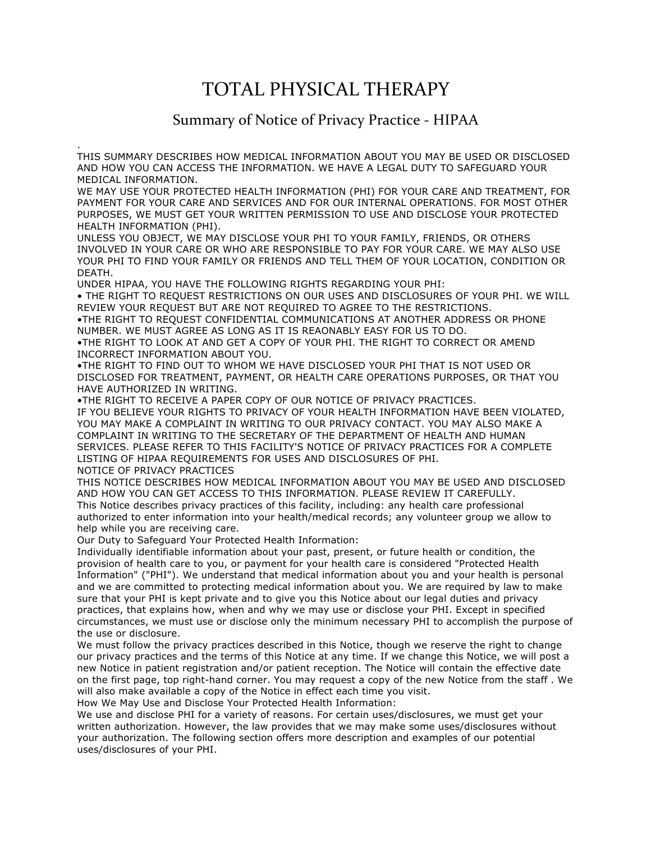## TOTAL PHYSICAL THERAPY

## Summary of Notice of Privacy Practice - HIPAA

. THIS SUMMARY DESCRIBES HOW MEDICAL INFORMATION ABOUT YOU MAY BE USED OR DISCLOSED AND HOW YOU CAN ACCESS THE INFORMATION. WE HAVE A LEGAL DUTY TO SAFEGUARD YOUR MEDICAL INFORMATION.

WE MAY USE YOUR PROTECTED HEALTH INFORMATION (PHI) FOR YOUR CARE AND TREATMENT, FOR PAYMENT FOR YOUR CARE AND SERVICES AND FOR OUR INTERNAL OPERATIONS. FOR MOST OTHER PURPOSES, WE MUST GET YOUR WRITTEN PERMISSION TO USE AND DISCLOSE YOUR PROTECTED HEALTH INFORMATION (PHI).

UNLESS YOU OBJECT, WE MAY DISCLOSE YOUR PHI TO YOUR FAMILY, FRIENDS, OR OTHERS INVOLVED IN YOUR CARE OR WHO ARE RESPONSIBLE TO PAY FOR YOUR CARE. WE MAY ALSO USE YOUR PHI TO FIND YOUR FAMILY OR FRIENDS AND TELL THEM OF YOUR LOCATION, CONDITION OR DEATH.

UNDER HIPAA, YOU HAVE THE FOLLOWING RIGHTS REGARDING YOUR PHI:

• THE RIGHT TO REQUEST RESTRICTIONS ON OUR USES AND DISCLOSURES OF YOUR PHI. WE WILL REVIEW YOUR REQUEST BUT ARE NOT REQUIRED TO AGREE TO THE RESTRICTIONS.

•THE RIGHT TO REQUEST CONFIDENTIAL COMMUNICATIONS AT ANOTHER ADDRESS OR PHONE NUMBER. WE MUST AGREE AS LONG AS IT IS REAONABLY EASY FOR US TO DO.

•THE RIGHT TO LOOK AT AND GET A COPY OF YOUR PHI. THE RIGHT TO CORRECT OR AMEND INCORRECT INFORMATION ABOUT YOU.

•THE RIGHT TO FIND OUT TO WHOM WE HAVE DISCLOSED YOUR PHI THAT IS NOT USED OR DISCLOSED FOR TREATMENT, PAYMENT, OR HEALTH CARE OPERATIONS PURPOSES, OR THAT YOU HAVE AUTHORIZED IN WRITING.

•THE RIGHT TO RECEIVE A PAPER COPY OF OUR NOTICE OF PRIVACY PRACTICES. IF YOU BELIEVE YOUR RIGHTS TO PRIVACY OF YOUR HEALTH INFORMATION HAVE BEEN VIOLATED, YOU MAY MAKE A COMPLAINT IN WRITING TO OUR PRIVACY CONTACT. YOU MAY ALSO MAKE A COMPLAINT IN WRITING TO THE SECRETARY OF THE DEPARTMENT OF HEALTH AND HUMAN SERVICES. PLEASE REFER TO THIS FACILITY'S NOTICE OF PRIVACY PRACTICES FOR A COMPLETE LISTING OF HIPAA REQUIREMENTS FOR USES AND DISCLOSURES OF PHI. NOTICE OF PRIVACY PRACTICES

THIS NOTICE DESCRIBES HOW MEDICAL INFORMATION ABOUT YOU MAY BE USED AND DISCLOSED AND HOW YOU CAN GET ACCESS TO THIS INFORMATION. PLEASE REVIEW IT CAREFULLY. This Notice describes privacy practices of this facility, including: any health care professional authorized to enter information into your health/medical records; any volunteer group we allow to help while you are receiving care.

Our Duty to Safeguard Your Protected Health Information:

Individually identifiable information about your past, present, or future health or condition, the provision of health care to you, or payment for your health care is considered "Protected Health Information" ("PHI"). We understand that medical information about you and your health is personal and we are committed to protecting medical information about you. We are required by law to make sure that your PHI is kept private and to give you this Notice about our legal duties and privacy practices, that explains how, when and why we may use or disclose your PHI. Except in specified circumstances, we must use or disclose only the minimum necessary PHI to accomplish the purpose of the use or disclosure.

We must follow the privacy practices described in this Notice, though we reserve the right to change our privacy practices and the terms of this Notice at any time. If we change this Notice, we will post a new Notice in patient registration and/or patient reception. The Notice will contain the effective date on the first page, top right-hand corner. You may request a copy of the new Notice from the staff . We will also make available a copy of the Notice in effect each time you visit.

How We May Use and Disclose Your Protected Health Information:

We use and disclose PHI for a variety of reasons. For certain uses/disclosures, we must get your written authorization. However, the law provides that we may make some uses/disclosures without your authorization. The following section offers more description and examples of our potential uses/disclosures of your PHI.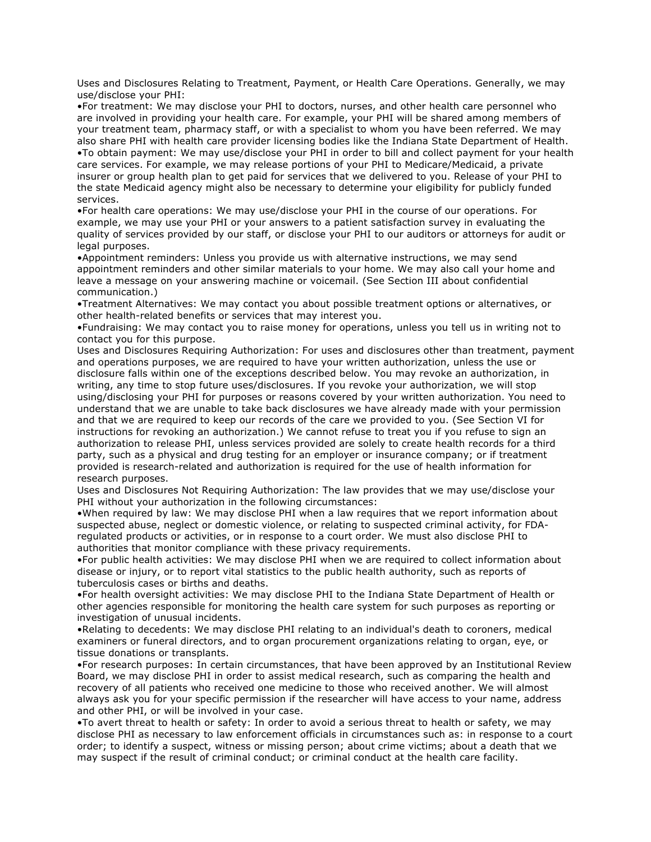Uses and Disclosures Relating to Treatment, Payment, or Health Care Operations. Generally, we may use/disclose your PHI:

•For treatment: We may disclose your PHI to doctors, nurses, and other health care personnel who are involved in providing your health care. For example, your PHI will be shared among members of your treatment team, pharmacy staff, or with a specialist to whom you have been referred. We may also share PHI with health care provider licensing bodies like the Indiana State Department of Health. •To obtain payment: We may use/disclose your PHI in order to bill and collect payment for your health care services. For example, we may release portions of your PHI to Medicare/Medicaid, a private insurer or group health plan to get paid for services that we delivered to you. Release of your PHI to the state Medicaid agency might also be necessary to determine your eligibility for publicly funded services.

•For health care operations: We may use/disclose your PHI in the course of our operations. For example, we may use your PHI or your answers to a patient satisfaction survey in evaluating the quality of services provided by our staff, or disclose your PHI to our auditors or attorneys for audit or legal purposes.

•Appointment reminders: Unless you provide us with alternative instructions, we may send appointment reminders and other similar materials to your home. We may also call your home and leave a message on your answering machine or voicemail. (See Section III about confidential communication.)

•Treatment Alternatives: We may contact you about possible treatment options or alternatives, or other health-related benefits or services that may interest you.

•Fundraising: We may contact you to raise money for operations, unless you tell us in writing not to contact you for this purpose.

Uses and Disclosures Requiring Authorization: For uses and disclosures other than treatment, payment and operations purposes, we are required to have your written authorization, unless the use or disclosure falls within one of the exceptions described below. You may revoke an authorization, in writing, any time to stop future uses/disclosures. If you revoke your authorization, we will stop using/disclosing your PHI for purposes or reasons covered by your written authorization. You need to understand that we are unable to take back disclosures we have already made with your permission and that we are required to keep our records of the care we provided to you. (See Section VI for instructions for revoking an authorization.) We cannot refuse to treat you if you refuse to sign an authorization to release PHI, unless services provided are solely to create health records for a third party, such as a physical and drug testing for an employer or insurance company; or if treatment provided is research-related and authorization is required for the use of health information for research purposes.

Uses and Disclosures Not Requiring Authorization: The law provides that we may use/disclose your PHI without your authorization in the following circumstances:

•When required by law: We may disclose PHI when a law requires that we report information about suspected abuse, neglect or domestic violence, or relating to suspected criminal activity, for FDAregulated products or activities, or in response to a court order. We must also disclose PHI to authorities that monitor compliance with these privacy requirements.

•For public health activities: We may disclose PHI when we are required to collect information about disease or injury, or to report vital statistics to the public health authority, such as reports of tuberculosis cases or births and deaths.

•For health oversight activities: We may disclose PHI to the Indiana State Department of Health or other agencies responsible for monitoring the health care system for such purposes as reporting or investigation of unusual incidents.

•Relating to decedents: We may disclose PHI relating to an individual's death to coroners, medical examiners or funeral directors, and to organ procurement organizations relating to organ, eye, or tissue donations or transplants.

•For research purposes: In certain circumstances, that have been approved by an Institutional Review Board, we may disclose PHI in order to assist medical research, such as comparing the health and recovery of all patients who received one medicine to those who received another. We will almost always ask you for your specific permission if the researcher will have access to your name, address and other PHI, or will be involved in your case.

•To avert threat to health or safety: In order to avoid a serious threat to health or safety, we may disclose PHI as necessary to law enforcement officials in circumstances such as: in response to a court order; to identify a suspect, witness or missing person; about crime victims; about a death that we may suspect if the result of criminal conduct; or criminal conduct at the health care facility.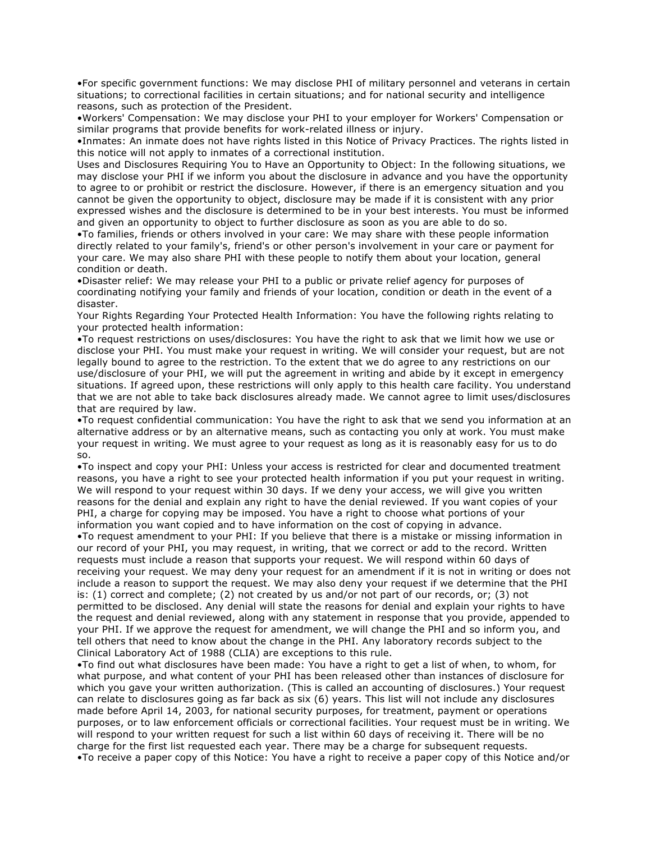•For specific government functions: We may disclose PHI of military personnel and veterans in certain situations; to correctional facilities in certain situations; and for national security and intelligence reasons, such as protection of the President.

•Workers' Compensation: We may disclose your PHI to your employer for Workers' Compensation or similar programs that provide benefits for work-related illness or injury.

•Inmates: An inmate does not have rights listed in this Notice of Privacy Practices. The rights listed in this notice will not apply to inmates of a correctional institution.

Uses and Disclosures Requiring You to Have an Opportunity to Object: In the following situations, we may disclose your PHI if we inform you about the disclosure in advance and you have the opportunity to agree to or prohibit or restrict the disclosure. However, if there is an emergency situation and you cannot be given the opportunity to object, disclosure may be made if it is consistent with any prior expressed wishes and the disclosure is determined to be in your best interests. You must be informed and given an opportunity to object to further disclosure as soon as you are able to do so.

•To families, friends or others involved in your care: We may share with these people information directly related to your family's, friend's or other person's involvement in your care or payment for your care. We may also share PHI with these people to notify them about your location, general condition or death.

•Disaster relief: We may release your PHI to a public or private relief agency for purposes of coordinating notifying your family and friends of your location, condition or death in the event of a disaster.

Your Rights Regarding Your Protected Health Information: You have the following rights relating to your protected health information:

•To request restrictions on uses/disclosures: You have the right to ask that we limit how we use or disclose your PHI. You must make your request in writing. We will consider your request, but are not legally bound to agree to the restriction. To the extent that we do agree to any restrictions on our use/disclosure of your PHI, we will put the agreement in writing and abide by it except in emergency situations. If agreed upon, these restrictions will only apply to this health care facility. You understand that we are not able to take back disclosures already made. We cannot agree to limit uses/disclosures that are required by law.

•To request confidential communication: You have the right to ask that we send you information at an alternative address or by an alternative means, such as contacting you only at work. You must make your request in writing. We must agree to your request as long as it is reasonably easy for us to do so.

•To inspect and copy your PHI: Unless your access is restricted for clear and documented treatment reasons, you have a right to see your protected health information if you put your request in writing. We will respond to your request within 30 days. If we deny your access, we will give you written reasons for the denial and explain any right to have the denial reviewed. If you want copies of your PHI, a charge for copying may be imposed. You have a right to choose what portions of your information you want copied and to have information on the cost of copying in advance.

•To request amendment to your PHI: If you believe that there is a mistake or missing information in our record of your PHI, you may request, in writing, that we correct or add to the record. Written requests must include a reason that supports your request. We will respond within 60 days of receiving your request. We may deny your request for an amendment if it is not in writing or does not include a reason to support the request. We may also deny your request if we determine that the PHI is: (1) correct and complete; (2) not created by us and/or not part of our records, or; (3) not permitted to be disclosed. Any denial will state the reasons for denial and explain your rights to have the request and denial reviewed, along with any statement in response that you provide, appended to your PHI. If we approve the request for amendment, we will change the PHI and so inform you, and tell others that need to know about the change in the PHI. Any laboratory records subject to the Clinical Laboratory Act of 1988 (CLIA) are exceptions to this rule.

•To find out what disclosures have been made: You have a right to get a list of when, to whom, for what purpose, and what content of your PHI has been released other than instances of disclosure for which you gave your written authorization. (This is called an accounting of disclosures.) Your request can relate to disclosures going as far back as six (6) years. This list will not include any disclosures made before April 14, 2003, for national security purposes, for treatment, payment or operations purposes, or to law enforcement officials or correctional facilities. Your request must be in writing. We will respond to your written request for such a list within 60 days of receiving it. There will be no charge for the first list requested each year. There may be a charge for subsequent requests. •To receive a paper copy of this Notice: You have a right to receive a paper copy of this Notice and/or